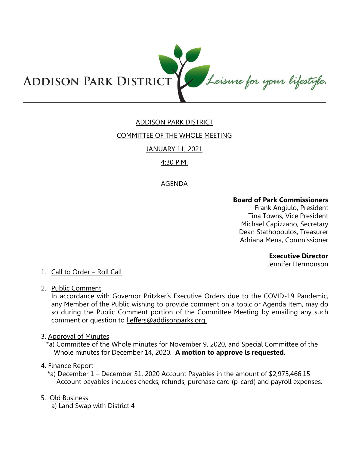

# ADDISON PARK DISTRICT

### COMMITTEE OF THE WHOLE MEETING

### JANUARY 11, 2021

## 4:30 P.M.

## AGENDA

## **Board of Park Commissioners**

Frank Angiulo, President Tina Towns, Vice President Michael Capizzano, Secretary Dean Stathopoulos, Treasurer Adriana Mena, Commissioner

### **Executive Director**

Jennifer Hermonson

### 1. Call to Order – Roll Call

2. Public Comment

In accordance with Governor Pritzker's Executive Orders due to the COVID-19 Pandemic, any Member of the Public wishing to provide comment on a topic or Agenda Item, may do so during the Public Comment portion of the Committee Meeting by emailing any such comment or question to ljeffers@addisonparks.org.

3. Approval of Minutes

\*a) Committee of the Whole minutes for November 9, 2020, and Special Committee of the Whole minutes for December 14, 2020. **A motion to approve is requested.** 

## 4. Finance Report

\*a) December 1 – December 31, 2020 Account Payables in the amount of \$2,975,466.15 Account payables includes checks, refunds, purchase card (p-card) and payroll expenses.

### 5. Old Business

a) Land Swap with District 4